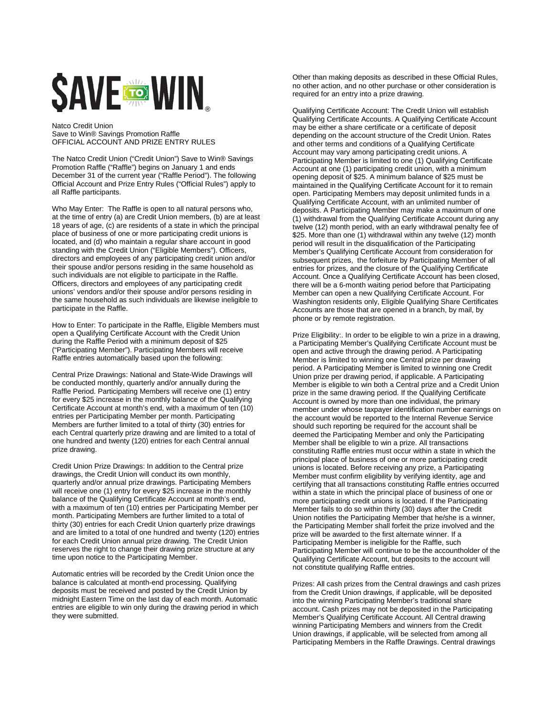## **SAVE TO WIN**

Natco Credit Union Save to Win® Savings Promotion Raffle OFFICIAL ACCOUNT AND PRIZE ENTRY RULES

The Natco Credit Union ("Credit Union") Save to Win® Savings Promotion Raffle ("Raffle") begins on January 1 and ends December 31 of the current year ("Raffle Period"). The following Official Account and Prize Entry Rules ("Official Rules") apply to all Raffle participants.

Who May Enter: The Raffle is open to all natural persons who, at the time of entry (a) are Credit Union members, (b) are at least 18 years of age, (c) are residents of a state in which the principal place of business of one or more participating credit unions is located, and (d) who maintain a regular share account in good standing with the Credit Union ("Eligible Members"). Officers, directors and employees of any participating credit union and/or their spouse and/or persons residing in the same household as such individuals are not eligible to participate in the Raffle. Officers, directors and employees of any participating credit unions' vendors and/or their spouse and/or persons residing in the same household as such individuals are likewise ineligible to participate in the Raffle.

How to Enter: To participate in the Raffle, Eligible Members must open a Qualifying Certificate Account with the Credit Union during the Raffle Period with a minimum deposit of \$25 ("Participating Member"). Participating Members will receive Raffle entries automatically based upon the following:

Central Prize Drawings: National and State-Wide Drawings will be conducted monthly, quarterly and/or annually during the Raffle Period. Participating Members will receive one (1) entry for every \$25 increase in the monthly balance of the Qualifying Certificate Account at month's end, with a maximum of ten (10) entries per Participating Member per month. Participating Members are further limited to a total of thirty (30) entries for each Central quarterly prize drawing and are limited to a total of one hundred and twenty (120) entries for each Central annual prize drawing.

Credit Union Prize Drawings: In addition to the Central prize drawings, the Credit Union will conduct its own monthly, quarterly and/or annual prize drawings. Participating Members will receive one (1) entry for every \$25 increase in the monthly balance of the Qualifying Certificate Account at month's end, with a maximum of ten (10) entries per Participating Member per month. Participating Members are further limited to a total of thirty (30) entries for each Credit Union quarterly prize drawings and are limited to a total of one hundred and twenty (120) entries for each Credit Union annual prize drawing. The Credit Union reserves the right to change their drawing prize structure at any time upon notice to the Participating Member.

Automatic entries will be recorded by the Credit Union once the balance is calculated at month-end processing. Qualifying deposits must be received and posted by the Credit Union by midnight Eastern Time on the last day of each month. Automatic entries are eligible to win only during the drawing period in which they were submitted.

Other than making deposits as described in these Official Rules, no other action, and no other purchase or other consideration is required for an entry into a prize drawing.

Qualifying Certificate Account: The Credit Union will establish Qualifying Certificate Accounts. A Qualifying Certificate Account may be either a share certificate or a certificate of deposit depending on the account structure of the Credit Union. Rates and other terms and conditions of a Qualifying Certificate Account may vary among participating credit unions. A Participating Member is limited to one (1) Qualifying Certificate Account at one (1) participating credit union, with a minimum opening deposit of \$25. A minimum balance of \$25 must be maintained in the Qualifying Certificate Account for it to remain open. Participating Members may deposit unlimited funds in a Qualifying Certificate Account, with an unlimited number of deposits. A Participating Member may make a maximum of one (1) withdrawal from the Qualifying Certificate Account during any twelve (12) month period, with an early withdrawal penalty fee of \$25. More than one (1) withdrawal within any twelve (12) month period will result in the disqualification of the Participating Member's Qualifying Certificate Account from consideration for subsequent prizes, the forfeiture by Participating Member of all entries for prizes, and the closure of the Qualifying Certificate Account. Once a Qualifying Certificate Account has been closed, there will be a 6-month waiting period before that Participating Member can open a new Qualifying Certificate Account. For Washington residents only, Eligible Qualifying Share Certificates Accounts are those that are opened in a branch, by mail, by phone or by remote registration.

Prize Eligibility:. In order to be eligible to win a prize in a drawing, a Participating Member's Qualifying Certificate Account must be open and active through the drawing period. A Participating Member is limited to winning one Central prize per drawing period. A Participating Member is limited to winning one Credit Union prize per drawing period, if applicable. A Participating Member is eligible to win both a Central prize and a Credit Union prize in the same drawing period. If the Qualifying Certificate Account is owned by more than one individual, the primary member under whose taxpayer identification number earnings on the account would be reported to the Internal Revenue Service should such reporting be required for the account shall be deemed the Participating Member and only the Participating Member shall be eligible to win a prize. All transactions constituting Raffle entries must occur within a state in which the principal place of business of one or more participating credit unions is located. Before receiving any prize, a Participating Member must confirm eligibility by verifying identity, age and certifying that all transactions constituting Raffle entries occurred within a state in which the principal place of business of one or more participating credit unions is located. If the Participating Member fails to do so within thirty (30) days after the Credit Union notifies the Participating Member that he/she is a winner, the Participating Member shall forfeit the prize involved and the prize will be awarded to the first alternate winner. If a Participating Member is ineligible for the Raffle, such Participating Member will continue to be the accountholder of the Qualifying Certificate Account, but deposits to the account will not constitute qualifying Raffle entries.

Prizes: All cash prizes from the Central drawings and cash prizes from the Credit Union drawings, if applicable, will be deposited into the winning Participating Member's traditional share account. Cash prizes may not be deposited in the Participating Member's Qualifying Certificate Account. All Central drawing winning Participating Members and winners from the Credit Union drawings, if applicable, will be selected from among all Participating Members in the Raffle Drawings. Central drawings